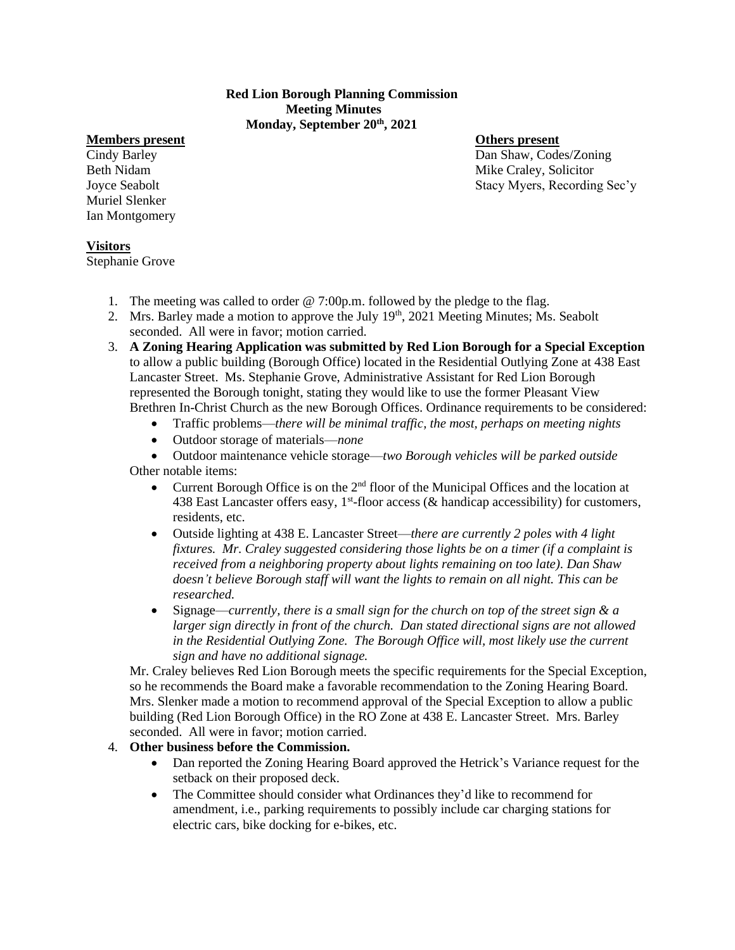## **Red Lion Borough Planning Commission Meeting Minutes Monday, September 20th, 2021**

## **Members present Others present**

Muriel Slenker Ian Montgomery

Cindy Barley Dan Shaw, Codes/Zoning Beth Nidam Mike Craley, Solicitor Joyce Seabolt Stacy Myers, Recording Sec'y

# **Visitors**

Stephanie Grove

- 1. The meeting was called to order @ 7:00p.m. followed by the pledge to the flag.
- 2. Mrs. Barley made a motion to approve the July 19<sup>th</sup>, 2021 Meeting Minutes; Ms. Seabolt seconded. All were in favor; motion carried.
- 3. **A Zoning Hearing Application was submitted by Red Lion Borough for a Special Exception**  to allow a public building (Borough Office) located in the Residential Outlying Zone at 438 East Lancaster Street. Ms. Stephanie Grove, Administrative Assistant for Red Lion Borough represented the Borough tonight, stating they would like to use the former Pleasant View Brethren In-Christ Church as the new Borough Offices. Ordinance requirements to be considered:
	- Traffic problems—*there will be minimal traffic, the most, perhaps on meeting nights*
	- Outdoor storage of materials—*none*
	- Outdoor maintenance vehicle storage—*two Borough vehicles will be parked outside* Other notable items:
		- Current Borough Office is on the  $2<sup>nd</sup>$  floor of the Municipal Offices and the location at 438 East Lancaster offers easy,  $1<sup>st</sup>$ -floor access (& handicap accessibility) for customers, residents, etc.
		- Outside lighting at 438 E. Lancaster Street—*there are currently 2 poles with 4 light fixtures. Mr. Craley suggested considering those lights be on a timer (if a complaint is received from a neighboring property about lights remaining on too late). Dan Shaw doesn't believe Borough staff will want the lights to remain on all night. This can be researched.*
		- Signage—*currently, there is a small sign for the church on top of the street sign & a larger sign directly in front of the church. Dan stated directional signs are not allowed in the Residential Outlying Zone. The Borough Office will, most likely use the current sign and have no additional signage.*

Mr. Craley believes Red Lion Borough meets the specific requirements for the Special Exception, so he recommends the Board make a favorable recommendation to the Zoning Hearing Board. Mrs. Slenker made a motion to recommend approval of the Special Exception to allow a public building (Red Lion Borough Office) in the RO Zone at 438 E. Lancaster Street. Mrs. Barley seconded. All were in favor; motion carried.

# 4. **Other business before the Commission.**

- Dan reported the Zoning Hearing Board approved the Hetrick's Variance request for the setback on their proposed deck.
- The Committee should consider what Ordinances they'd like to recommend for amendment, i.e., parking requirements to possibly include car charging stations for electric cars, bike docking for e-bikes, etc.